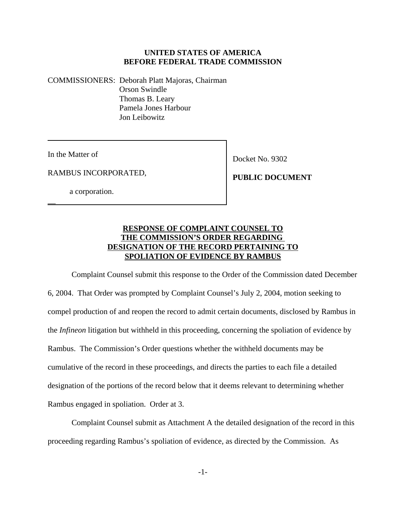#### **UNITED STATES OF AMERICA BEFORE FEDERAL TRADE COMMISSION**

COMMISSIONERS: Deborah Platt Majoras, Chairman Orson Swindle Thomas B. Leary Pamela Jones Harbour Jon Leibowitz

In the Matter of

 $\overline{\phantom{0}}$ 

Docket No. 9302

RAMBUS INCORPORATED,

a corporation.

 **PUBLIC DOCUMENT**

# **RESPONSE OF COMPLAINT COUNSEL TO THE COMMISSION'S ORDER REGARDING DESIGNATION OF THE RECORD PERTAINING TO SPOLIATION OF EVIDENCE BY RAMBUS**

Complaint Counsel submit this response to the Order of the Commission dated December 6, 2004. That Order was prompted by Complaint Counsel's July 2, 2004, motion seeking to compel production of and reopen the record to admit certain documents, disclosed by Rambus in the *Infineon* litigation but withheld in this proceeding, concerning the spoliation of evidence by Rambus. The Commission's Order questions whether the withheld documents may be cumulative of the record in these proceedings, and directs the parties to each file a detailed designation of the portions of the record below that it deems relevant to determining whether Rambus engaged in spoliation. Order at 3.

Complaint Counsel submit as Attachment A the detailed designation of the record in this proceeding regarding Rambus's spoliation of evidence, as directed by the Commission. As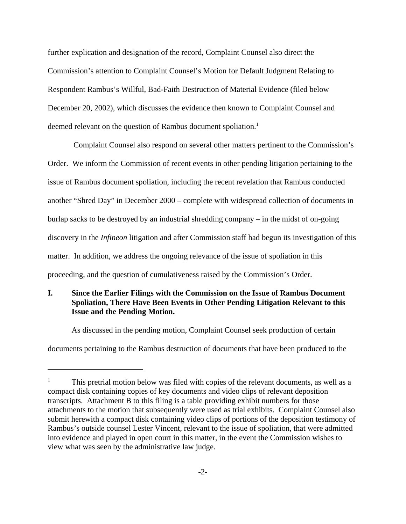further explication and designation of the record, Complaint Counsel also direct the Commission's attention to Complaint Counsel's Motion for Default Judgment Relating to Respondent Rambus's Willful, Bad-Faith Destruction of Material Evidence (filed below December 20, 2002), which discusses the evidence then known to Complaint Counsel and deemed relevant on the question of Rambus document spoliation.<sup>1</sup>

 Complaint Counsel also respond on several other matters pertinent to the Commission's Order. We inform the Commission of recent events in other pending litigation pertaining to the issue of Rambus document spoliation, including the recent revelation that Rambus conducted another "Shred Day" in December 2000 – complete with widespread collection of documents in burlap sacks to be destroyed by an industrial shredding company – in the midst of on-going discovery in the *Infineon* litigation and after Commission staff had begun its investigation of this matter. In addition, we address the ongoing relevance of the issue of spoliation in this proceeding, and the question of cumulativeness raised by the Commission's Order.

# **I. Since the Earlier Filings with the Commission on the Issue of Rambus Document Spoliation, There Have Been Events in Other Pending Litigation Relevant to this Issue and the Pending Motion.**

As discussed in the pending motion, Complaint Counsel seek production of certain documents pertaining to the Rambus destruction of documents that have been produced to the

<sup>1</sup> This pretrial motion below was filed with copies of the relevant documents, as well as a compact disk containing copies of key documents and video clips of relevant deposition transcripts. Attachment B to this filing is a table providing exhibit numbers for those attachments to the motion that subsequently were used as trial exhibits. Complaint Counsel also submit herewith a compact disk containing video clips of portions of the deposition testimony of Rambus's outside counsel Lester Vincent, relevant to the issue of spoliation, that were admitted into evidence and played in open court in this matter, in the event the Commission wishes to view what was seen by the administrative law judge.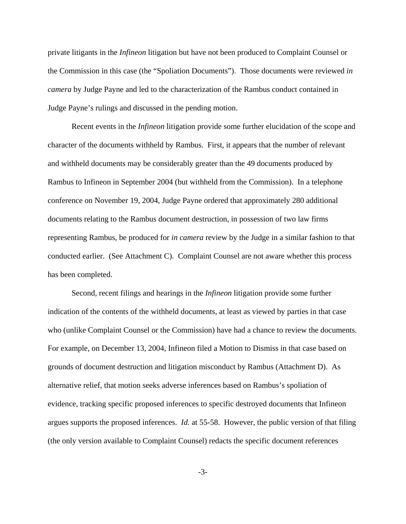private litigants in the *Infineon* litigation but have not been produced to Complaint Counsel or the Commission in this case (the "Spoliation Documents"). Those documents were reviewed *in camera* by Judge Payne and led to the characterization of the Rambus conduct contained in Judge Payne's rulings and discussed in the pending motion.

Recent events in the *Infineon* litigation provide some further elucidation of the scope and character of the documents withheld by Rambus. First, it appears that the number of relevant and withheld documents may be considerably greater than the 49 documents produced by Rambus to Infineon in September 2004 (but withheld from the Commission). In a telephone conference on November 19, 2004, Judge Payne ordered that approximately 280 additional documents relating to the Rambus document destruction, in possession of two law firms representing Rambus, be produced for *in camera* review by the Judge in a similar fashion to that conducted earlier. (See Attachment C). Complaint Counsel are not aware whether this process has been completed.

Second, recent filings and hearings in the *Infineon* litigation provide some further indication of the contents of the withheld documents, at least as viewed by parties in that case who (unlike Complaint Counsel or the Commission) have had a chance to review the documents. For example, on December 13, 2004, Infineon filed a Motion to Dismiss in that case based on grounds of document destruction and litigation misconduct by Rambus (Attachment D). As alternative relief, that motion seeks adverse inferences based on Rambus's spoliation of evidence, tracking specific proposed inferences to specific destroyed documents that Infineon argues supports the proposed inferences. *Id.* at 55-58. However, the public version of that filing (the only version available to Complaint Counsel) redacts the specific document references

-3-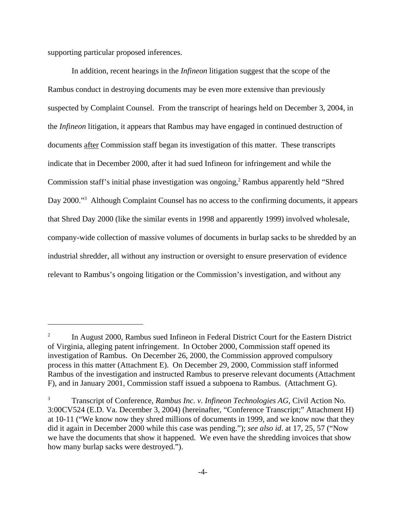supporting particular proposed inferences.

In addition, recent hearings in the *Infineon* litigation suggest that the scope of the Rambus conduct in destroying documents may be even more extensive than previously suspected by Complaint Counsel. From the transcript of hearings held on December 3, 2004, in the *Infineon* litigation, it appears that Rambus may have engaged in continued destruction of documents after Commission staff began its investigation of this matter. These transcripts indicate that in December 2000, after it had sued Infineon for infringement and while the Commission staff's initial phase investigation was ongoing,<sup>2</sup> Rambus apparently held "Shred Day 2000."<sup>3</sup> Although Complaint Counsel has no access to the confirming documents, it appears that Shred Day 2000 (like the similar events in 1998 and apparently 1999) involved wholesale, company-wide collection of massive volumes of documents in burlap sacks to be shredded by an industrial shredder, all without any instruction or oversight to ensure preservation of evidence relevant to Rambus's ongoing litigation or the Commission's investigation, and without any

 $2^2$  In August 2000, Rambus sued Infineon in Federal District Court for the Eastern District of Virginia, alleging patent infringement. In October 2000, Commission staff opened its investigation of Rambus. On December 26, 2000, the Commission approved compulsory process in this matter (Attachment E). On December 29, 2000, Commission staff informed Rambus of the investigation and instructed Rambus to preserve relevant documents (Attachment F), and in January 2001, Commission staff issued a subpoena to Rambus. (Attachment G).

<sup>3</sup> Transcript of Conference, *Rambus Inc. v. Infineon Technologies AG*, Civil Action No. 3:00CV524 (E.D. Va. December 3, 2004) (hereinafter, "Conference Transcript;" Attachment H) at 10-11 ("We know now they shred millions of documents in 1999, and we know now that they did it again in December 2000 while this case was pending."); *see also id*. at 17, 25, 57 ("Now we have the documents that show it happened. We even have the shredding invoices that show how many burlap sacks were destroyed.").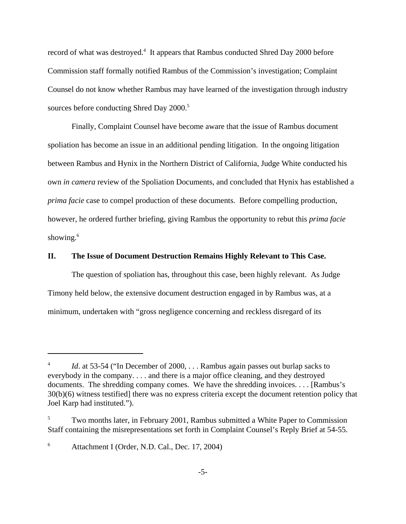record of what was destroyed.<sup>4</sup> It appears that Rambus conducted Shred Day 2000 before Commission staff formally notified Rambus of the Commission's investigation; Complaint Counsel do not know whether Rambus may have learned of the investigation through industry sources before conducting Shred Day 2000.<sup>5</sup>

Finally, Complaint Counsel have become aware that the issue of Rambus document spoliation has become an issue in an additional pending litigation. In the ongoing litigation between Rambus and Hynix in the Northern District of California, Judge White conducted his own *in camera* review of the Spoliation Documents, and concluded that Hynix has established a *prima facie* case to compel production of these documents. Before compelling production, however, he ordered further briefing, giving Rambus the opportunity to rebut this *prima facie* showing.<sup>6</sup>

#### **II. The Issue of Document Destruction Remains Highly Relevant to This Case.**

The question of spoliation has, throughout this case, been highly relevant. As Judge Timony held below, the extensive document destruction engaged in by Rambus was, at a minimum, undertaken with "gross negligence concerning and reckless disregard of its

<sup>6</sup> Attachment I (Order, N.D. Cal., Dec. 17, 2004)

*Id.* at 53-54 ("In December of 2000, ... Rambus again passes out burlap sacks to everybody in the company. . . . and there is a major office cleaning, and they destroyed documents. The shredding company comes. We have the shredding invoices. . . . [Rambus's 30(b)(6) witness testified] there was no express criteria except the document retention policy that Joel Karp had instituted.").

Two months later, in February 2001, Rambus submitted a White Paper to Commission Staff containing the misrepresentations set forth in Complaint Counsel's Reply Brief at 54-55.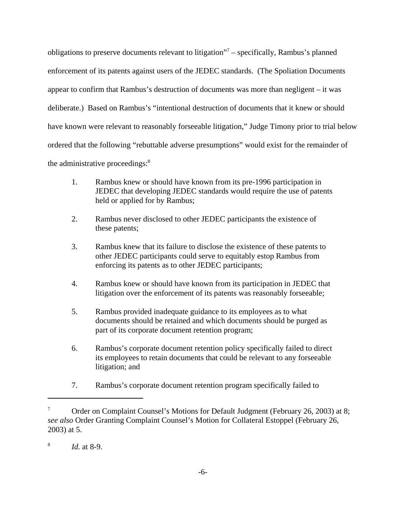obligations to preserve documents relevant to litigation"<sup>7</sup> – specifically, Rambus's planned enforcement of its patents against users of the JEDEC standards. (The Spoliation Documents appear to confirm that Rambus's destruction of documents was more than negligent – it was deliberate.) Based on Rambus's "intentional destruction of documents that it knew or should have known were relevant to reasonably forseeable litigation," Judge Timony prior to trial below ordered that the following "rebuttable adverse presumptions" would exist for the remainder of the administrative proceedings:<sup>8</sup>

- 1. Rambus knew or should have known from its pre-1996 participation in JEDEC that developing JEDEC standards would require the use of patents held or applied for by Rambus;
- 2. Rambus never disclosed to other JEDEC participants the existence of these patents;
- 3. Rambus knew that its failure to disclose the existence of these patents to other JEDEC participants could serve to equitably estop Rambus from enforcing its patents as to other JEDEC participants;
- 4. Rambus knew or should have known from its participation in JEDEC that litigation over the enforcement of its patents was reasonably forseeable;
- 5. Rambus provided inadequate guidance to its employees as to what documents should be retained and which documents should be purged as part of its corporate document retention program;
- 6. Rambus's corporate document retention policy specifically failed to direct its employees to retain documents that could be relevant to any forseeable litigation; and
- 7. Rambus's corporate document retention program specifically failed to

<sup>7</sup> Order on Complaint Counsel's Motions for Default Judgment (February 26, 2003) at 8; *see also* Order Granting Complaint Counsel's Motion for Collateral Estoppel (February 26, 2003) at 5.

<sup>8</sup> *Id.* at 8-9.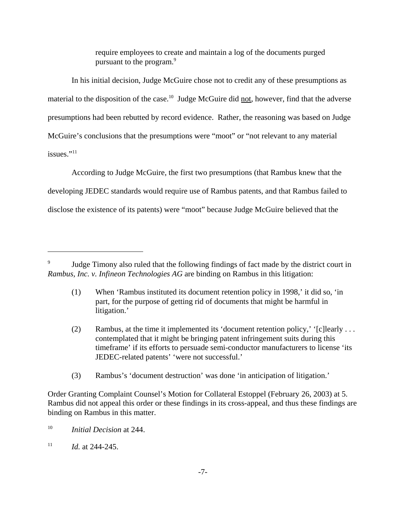require employees to create and maintain a log of the documents purged pursuant to the program.<sup>9</sup>

In his initial decision, Judge McGuire chose not to credit any of these presumptions as material to the disposition of the case.<sup>10</sup> Judge McGuire did not, however, find that the adverse presumptions had been rebutted by record evidence. Rather, the reasoning was based on Judge McGuire's conclusions that the presumptions were "moot" or "not relevant to any material issues."<sup>11</sup>

According to Judge McGuire, the first two presumptions (that Rambus knew that the developing JEDEC standards would require use of Rambus patents, and that Rambus failed to disclose the existence of its patents) were "moot" because Judge McGuire believed that the

- (2) Rambus, at the time it implemented its 'document retention policy,' '[c]learly . . . contemplated that it might be bringing patent infringement suits during this timeframe' if its efforts to persuade semi-conductor manufacturers to license 'its JEDEC-related patents' 'were not successful.'
- (3) Rambus's 'document destruction' was done 'in anticipation of litigation.'

<sup>&</sup>lt;sup>9</sup> Judge Timony also ruled that the following findings of fact made by the district court in *Rambus, Inc. v. Infineon Technologies AG* are binding on Rambus in this litigation:

<sup>(1)</sup> When 'Rambus instituted its document retention policy in 1998,' it did so, 'in part, for the purpose of getting rid of documents that might be harmful in litigation.'

Order Granting Complaint Counsel's Motion for Collateral Estoppel (February 26, 2003) at 5. Rambus did not appeal this order or these findings in its cross-appeal, and thus these findings are binding on Rambus in this matter.

<sup>10</sup> *Initial Decision* at 244.

 $11$  *Id.* at 244-245.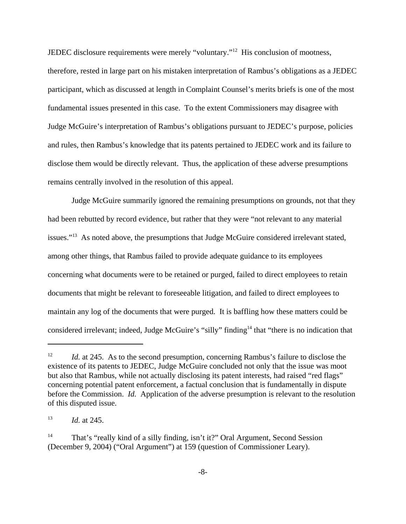JEDEC disclosure requirements were merely "voluntary."12 His conclusion of mootness, therefore, rested in large part on his mistaken interpretation of Rambus's obligations as a JEDEC participant, which as discussed at length in Complaint Counsel's merits briefs is one of the most fundamental issues presented in this case. To the extent Commissioners may disagree with Judge McGuire's interpretation of Rambus's obligations pursuant to JEDEC's purpose, policies and rules, then Rambus's knowledge that its patents pertained to JEDEC work and its failure to disclose them would be directly relevant. Thus, the application of these adverse presumptions remains centrally involved in the resolution of this appeal.

Judge McGuire summarily ignored the remaining presumptions on grounds, not that they had been rebutted by record evidence, but rather that they were "not relevant to any material issues."<sup>13</sup> As noted above, the presumptions that Judge McGuire considered irrelevant stated, among other things, that Rambus failed to provide adequate guidance to its employees concerning what documents were to be retained or purged, failed to direct employees to retain documents that might be relevant to foreseeable litigation, and failed to direct employees to maintain any log of the documents that were purged. It is baffling how these matters could be considered irrelevant; indeed, Judge McGuire's "silly" finding<sup>14</sup> that "there is no indication that

<sup>&</sup>lt;sup>12</sup> *Id.* at 245. As to the second presumption, concerning Rambus's failure to disclose the existence of its patents to JEDEC, Judge McGuire concluded not only that the issue was moot but also that Rambus, while not actually disclosing its patent interests, had raised "red flags" concerning potential patent enforcement, a factual conclusion that is fundamentally in dispute before the Commission. *Id.* Application of the adverse presumption is relevant to the resolution of this disputed issue.

<sup>13</sup> *Id.* at 245.

<sup>14</sup> That's "really kind of a silly finding, isn't it?" Oral Argument, Second Session (December 9, 2004) ("Oral Argument") at 159 (question of Commissioner Leary).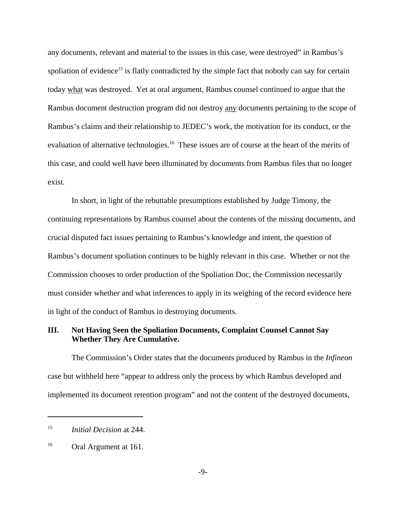any documents, relevant and material to the issues in this case, were destroyed" in Rambus's spoliation of evidence<sup>15</sup> is flatly contradicted by the simple fact that nobody can say for certain today what was destroyed. Yet at oral argument, Rambus counsel continued to argue that the Rambus document destruction program did not destroy any documents pertaining to the scope of Rambus's claims and their relationship to JEDEC's work, the motivation for its conduct, or the evaluation of alternative technologies.<sup>16</sup> These issues are of course at the heart of the merits of this case, and could well have been illuminated by documents from Rambus files that no longer exist.

In short, in light of the rebuttable presumptions established by Judge Timony, the continuing representations by Rambus counsel about the contents of the missing documents, and crucial disputed fact issues pertaining to Rambus's knowledge and intent, the question of Rambus's document spoliation continues to be highly relevant in this case. Whether or not the Commission chooses to order production of the Spoliation Doc, the Commission necessarily must consider whether and what inferences to apply in its weighing of the record evidence here in light of the conduct of Rambus in destroying documents.

## **III. Not Having Seen the Spoliation Documents, Complaint Counsel Cannot Say Whether They Are Cumulative.**

The Commission's Order states that the documents produced by Rambus in the *Infineon* case but withheld here "appear to address only the process by which Rambus developed and implemented its document retention program" and not the content of the destroyed documents,

<sup>15</sup> *Initial Decision* at 244.

<sup>&</sup>lt;sup>16</sup> Oral Argument at 161.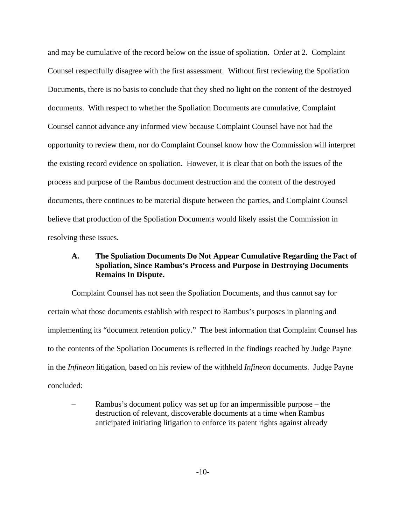and may be cumulative of the record below on the issue of spoliation. Order at 2. Complaint Counsel respectfully disagree with the first assessment. Without first reviewing the Spoliation Documents, there is no basis to conclude that they shed no light on the content of the destroyed documents. With respect to whether the Spoliation Documents are cumulative, Complaint Counsel cannot advance any informed view because Complaint Counsel have not had the opportunity to review them, nor do Complaint Counsel know how the Commission will interpret the existing record evidence on spoliation. However, it is clear that on both the issues of the process and purpose of the Rambus document destruction and the content of the destroyed documents, there continues to be material dispute between the parties, and Complaint Counsel believe that production of the Spoliation Documents would likely assist the Commission in resolving these issues.

# **A. The Spoliation Documents Do Not Appear Cumulative Regarding the Fact of Spoliation, Since Rambus's Process and Purpose in Destroying Documents Remains In Dispute.**

Complaint Counsel has not seen the Spoliation Documents, and thus cannot say for certain what those documents establish with respect to Rambus's purposes in planning and implementing its "document retention policy." The best information that Complaint Counsel has to the contents of the Spoliation Documents is reflected in the findings reached by Judge Payne in the *Infineon* litigation, based on his review of the withheld *Infineon* documents. Judge Payne concluded:

– Rambus's document policy was set up for an impermissible purpose – the destruction of relevant, discoverable documents at a time when Rambus anticipated initiating litigation to enforce its patent rights against already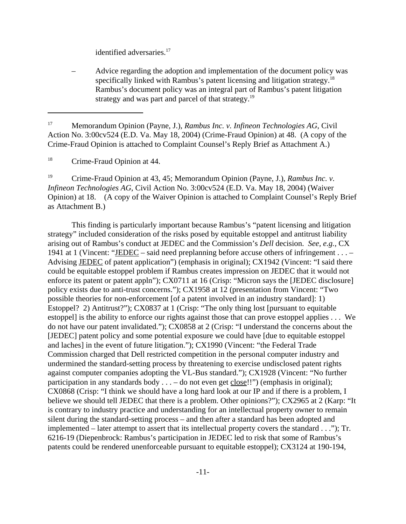identified adversaries.<sup>17</sup>

– Advice regarding the adoption and implementation of the document policy was specifically linked with Rambus's patent licensing and litigation strategy.<sup>18</sup> Rambus's document policy was an integral part of Rambus's patent litigation strategy and was part and parcel of that strategy.<sup>19</sup>

<sup>17</sup> Memorandum Opinion (Payne, J.), *Rambus Inc. v. Infineon Technologies AG*, Civil Action No. 3:00cv524 (E.D. Va. May 18, 2004) (Crime-Fraud Opinion) at 48. (A copy of the Crime-Fraud Opinion is attached to Complaint Counsel's Reply Brief as Attachment A.)

<sup>18</sup> Crime-Fraud Opinion at 44.

<sup>19</sup> Crime-Fraud Opinion at 43, 45; Memorandum Opinion (Payne, J.), *Rambus Inc. v. Infineon Technologies AG*, Civil Action No. 3:00cv524 (E.D. Va. May 18, 2004) (Waiver Opinion) at 18. (A copy of the Waiver Opinion is attached to Complaint Counsel's Reply Brief as Attachment B.)

This finding is particularly important because Rambus's "patent licensing and litigation strategy" included consideration of the risks posed by equitable estoppel and antitrust liability arising out of Rambus's conduct at JEDEC and the Commission's *Dell* decision. *See, e.g.,* CX 1941 at 1 (Vincent: "JEDEC – said need preplanning before accuse others of infringement . . . – Advising JEDEC of patent application") (emphasis in original); CX1942 (Vincent: "I said there could be equitable estoppel problem if Rambus creates impression on JEDEC that it would not enforce its patent or patent appln"); CX0711 at 16 (Crisp: "Micron says the [JEDEC disclosure] policy exists due to anti-trust concerns."); CX1958 at 12 (presentation from Vincent: "Two possible theories for non-enforcement [of a patent involved in an industry standard]: 1) Estoppel? 2) Antitrust?"); CX0837 at 1 (Crisp: "The only thing lost [pursuant to equitable estoppel] is the ability to enforce our rights against those that can prove estoppel applies . . . We do not have our patent invalidated."); CX0858 at 2 (Crisp: "I understand the concerns about the [JEDEC] patent policy and some potential exposure we could have [due to equitable estoppel and laches] in the event of future litigation."); CX1990 (Vincent: "the Federal Trade Commission charged that Dell restricted competition in the personal computer industry and undermined the standard-setting process by threatening to exercise undisclosed patent rights against computer companies adopting the VL-Bus standard."); CX1928 (Vincent: "No further participation in any standards body  $\dots$  – do not even get close!!") (emphasis in original); CX0868 (Crisp: "I think we should have a long hard look at our IP and if there is a problem, I believe we should tell JEDEC that there is a problem. Other opinions?"); CX2965 at 2 (Karp: "It is contrary to industry practice and understanding for an intellectual property owner to remain silent during the standard-setting process – and then after a standard has been adopted and implemented – later attempt to assert that its intellectual property covers the standard . . ."); Tr. 6216-19 (Diepenbrock: Rambus's participation in JEDEC led to risk that some of Rambus's patents could be rendered unenforceable pursuant to equitable estoppel); CX3124 at 190-194,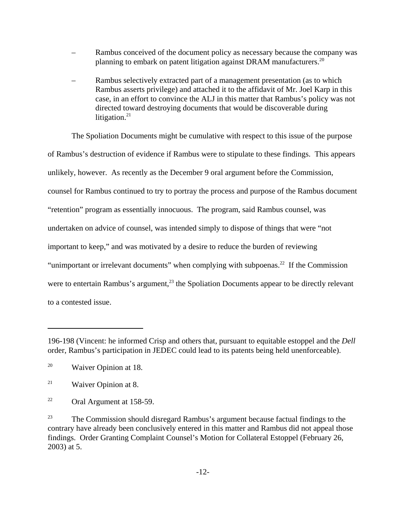- Rambus conceived of the document policy as necessary because the company was planning to embark on patent litigation against DRAM manufacturers.<sup>20</sup>
- Rambus selectively extracted part of a management presentation (as to which Rambus asserts privilege) and attached it to the affidavit of Mr. Joel Karp in this case, in an effort to convince the ALJ in this matter that Rambus's policy was not directed toward destroying documents that would be discoverable during litigation. $21$

The Spoliation Documents might be cumulative with respect to this issue of the purpose of Rambus's destruction of evidence if Rambus were to stipulate to these findings. This appears unlikely, however. As recently as the December 9 oral argument before the Commission, counsel for Rambus continued to try to portray the process and purpose of the Rambus document "retention" program as essentially innocuous. The program, said Rambus counsel, was undertaken on advice of counsel, was intended simply to dispose of things that were "not important to keep," and was motivated by a desire to reduce the burden of reviewing "unimportant or irrelevant documents" when complying with subpoenas.<sup>22</sup> If the Commission were to entertain Rambus's argument, $^{23}$  the Spoliation Documents appear to be directly relevant to a contested issue.

<sup>196-198 (</sup>Vincent: he informed Crisp and others that, pursuant to equitable estoppel and the *Dell* order, Rambus's participation in JEDEC could lead to its patents being held unenforceable).

<sup>&</sup>lt;sup>20</sup> Waiver Opinion at 18.

<sup>&</sup>lt;sup>21</sup> Waiver Opinion at 8.

<sup>22</sup> Oral Argument at 158-59.

<sup>&</sup>lt;sup>23</sup> The Commission should disregard Rambus's argument because factual findings to the contrary have already been conclusively entered in this matter and Rambus did not appeal those findings. Order Granting Complaint Counsel's Motion for Collateral Estoppel (February 26, 2003) at 5.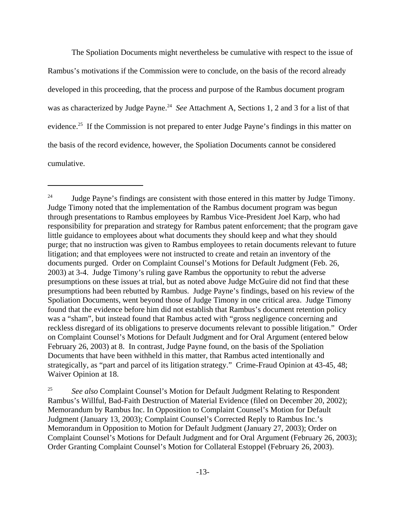The Spoliation Documents might nevertheless be cumulative with respect to the issue of Rambus's motivations if the Commission were to conclude, on the basis of the record already developed in this proceeding, that the process and purpose of the Rambus document program was as characterized by Judge Payne.<sup>24</sup> *See* Attachment A, Sections 1, 2 and 3 for a list of that evidence.<sup>25</sup> If the Commission is not prepared to enter Judge Payne's findings in this matter on the basis of the record evidence, however, the Spoliation Documents cannot be considered cumulative.

<sup>25</sup> *See also* Complaint Counsel's Motion for Default Judgment Relating to Respondent Rambus's Willful, Bad-Faith Destruction of Material Evidence (filed on December 20, 2002); Memorandum by Rambus Inc. In Opposition to Complaint Counsel's Motion for Default Judgment (January 13, 2003); Complaint Counsel's Corrected Reply to Rambus Inc.'s Memorandum in Opposition to Motion for Default Judgment (January 27, 2003); Order on Complaint Counsel's Motions for Default Judgment and for Oral Argument (February 26, 2003); Order Granting Complaint Counsel's Motion for Collateral Estoppel (February 26, 2003).

 $24$  Judge Payne's findings are consistent with those entered in this matter by Judge Timony. Judge Timony noted that the implementation of the Rambus document program was begun through presentations to Rambus employees by Rambus Vice-President Joel Karp, who had responsibility for preparation and strategy for Rambus patent enforcement; that the program gave little guidance to employees about what documents they should keep and what they should purge; that no instruction was given to Rambus employees to retain documents relevant to future litigation; and that employees were not instructed to create and retain an inventory of the documents purged. Order on Complaint Counsel's Motions for Default Judgment (Feb. 26, 2003) at 3-4. Judge Timony's ruling gave Rambus the opportunity to rebut the adverse presumptions on these issues at trial, but as noted above Judge McGuire did not find that these presumptions had been rebutted by Rambus. Judge Payne's findings, based on his review of the Spoliation Documents, went beyond those of Judge Timony in one critical area. Judge Timony found that the evidence before him did not establish that Rambus's document retention policy was a "sham", but instead found that Rambus acted with "gross negligence concerning and reckless disregard of its obligations to preserve documents relevant to possible litigation." Order on Complaint Counsel's Motions for Default Judgment and for Oral Argument (entered below February 26, 2003) at 8. In contrast, Judge Payne found, on the basis of the Spoliation Documents that have been withheld in this matter, that Rambus acted intentionally and strategically, as "part and parcel of its litigation strategy." Crime-Fraud Opinion at 43-45, 48; Waiver Opinion at 18.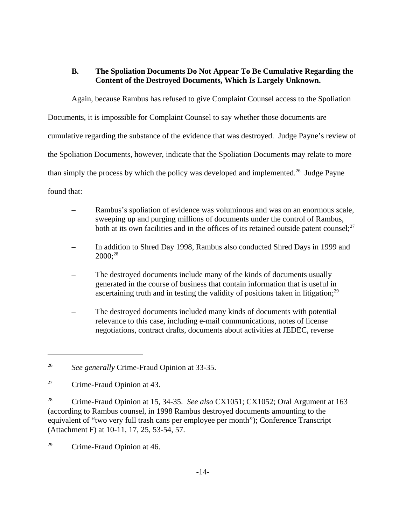# **B. The Spoliation Documents Do Not Appear To Be Cumulative Regarding the Content of the Destroyed Documents, Which Is Largely Unknown.**

Again, because Rambus has refused to give Complaint Counsel access to the Spoliation

Documents, it is impossible for Complaint Counsel to say whether those documents are

cumulative regarding the substance of the evidence that was destroyed. Judge Payne's review of

the Spoliation Documents, however, indicate that the Spoliation Documents may relate to more

than simply the process by which the policy was developed and implemented.<sup>26</sup> Judge Payne

found that:

- Rambus's spoliation of evidence was voluminous and was on an enormous scale, sweeping up and purging millions of documents under the control of Rambus, both at its own facilities and in the offices of its retained outside patent counsel; $^{27}$
- In addition to Shred Day 1998, Rambus also conducted Shred Days in 1999 and 2000;28
- The destroyed documents include many of the kinds of documents usually generated in the course of business that contain information that is useful in ascertaining truth and in testing the validity of positions taken in litigation; $^{29}$
- The destroyed documents included many kinds of documents with potential relevance to this case, including e-mail communications, notes of license negotiations, contract drafts, documents about activities at JEDEC, reverse

<sup>26</sup> *See generally* Crime-Fraud Opinion at 33-35.

<sup>27</sup> Crime-Fraud Opinion at 43.

<sup>28</sup> Crime-Fraud Opinion at 15, 34-35. *See also* CX1051; CX1052; Oral Argument at 163 (according to Rambus counsel, in 1998 Rambus destroyed documents amounting to the equivalent of "two very full trash cans per employee per month"); Conference Transcript (Attachment F) at 10-11, 17, 25, 53-54, 57.

<sup>29</sup> Crime-Fraud Opinion at 46.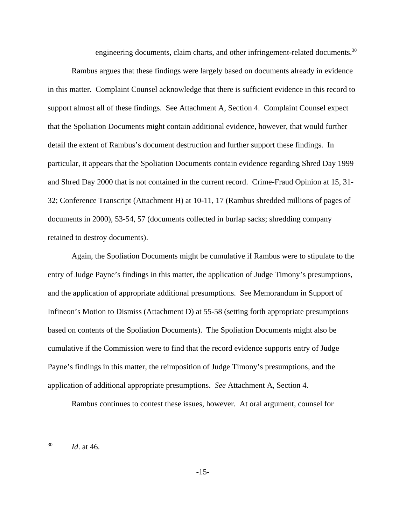engineering documents, claim charts, and other infringement-related documents.<sup>30</sup>

Rambus argues that these findings were largely based on documents already in evidence in this matter. Complaint Counsel acknowledge that there is sufficient evidence in this record to support almost all of these findings. See Attachment A, Section 4. Complaint Counsel expect that the Spoliation Documents might contain additional evidence, however, that would further detail the extent of Rambus's document destruction and further support these findings. In particular, it appears that the Spoliation Documents contain evidence regarding Shred Day 1999 and Shred Day 2000 that is not contained in the current record. Crime-Fraud Opinion at 15, 31- 32; Conference Transcript (Attachment H) at 10-11, 17 (Rambus shredded millions of pages of documents in 2000), 53-54, 57 (documents collected in burlap sacks; shredding company retained to destroy documents).

Again, the Spoliation Documents might be cumulative if Rambus were to stipulate to the entry of Judge Payne's findings in this matter, the application of Judge Timony's presumptions, and the application of appropriate additional presumptions. See Memorandum in Support of Infineon's Motion to Dismiss (Attachment D) at 55-58 (setting forth appropriate presumptions based on contents of the Spoliation Documents). The Spoliation Documents might also be cumulative if the Commission were to find that the record evidence supports entry of Judge Payne's findings in this matter, the reimposition of Judge Timony's presumptions, and the application of additional appropriate presumptions. *See* Attachment A, Section 4.

Rambus continues to contest these issues, however. At oral argument, counsel for

<sup>30</sup> *Id*. at 46.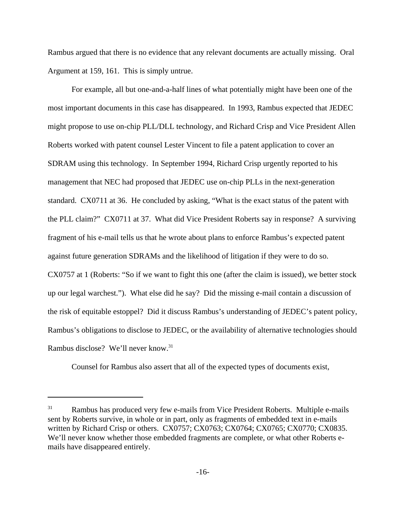Rambus argued that there is no evidence that any relevant documents are actually missing. Oral Argument at 159, 161. This is simply untrue.

For example, all but one-and-a-half lines of what potentially might have been one of the most important documents in this case has disappeared. In 1993, Rambus expected that JEDEC might propose to use on-chip PLL/DLL technology, and Richard Crisp and Vice President Allen Roberts worked with patent counsel Lester Vincent to file a patent application to cover an SDRAM using this technology. In September 1994, Richard Crisp urgently reported to his management that NEC had proposed that JEDEC use on-chip PLLs in the next-generation standard. CX0711 at 36. He concluded by asking, "What is the exact status of the patent with the PLL claim?" CX0711 at 37. What did Vice President Roberts say in response? A surviving fragment of his e-mail tells us that he wrote about plans to enforce Rambus's expected patent against future generation SDRAMs and the likelihood of litigation if they were to do so. CX0757 at 1 (Roberts: "So if we want to fight this one (after the claim is issued), we better stock up our legal warchest."). What else did he say? Did the missing e-mail contain a discussion of the risk of equitable estoppel? Did it discuss Rambus's understanding of JEDEC's patent policy, Rambus's obligations to disclose to JEDEC, or the availability of alternative technologies should Rambus disclose? We'll never know.31

Counsel for Rambus also assert that all of the expected types of documents exist,

<sup>&</sup>lt;sup>31</sup> Rambus has produced very few e-mails from Vice President Roberts. Multiple e-mails sent by Roberts survive, in whole or in part, only as fragments of embedded text in e-mails written by Richard Crisp or others. CX0757; CX0763; CX0764; CX0765; CX0770; CX0835. We'll never know whether those embedded fragments are complete, or what other Roberts emails have disappeared entirely.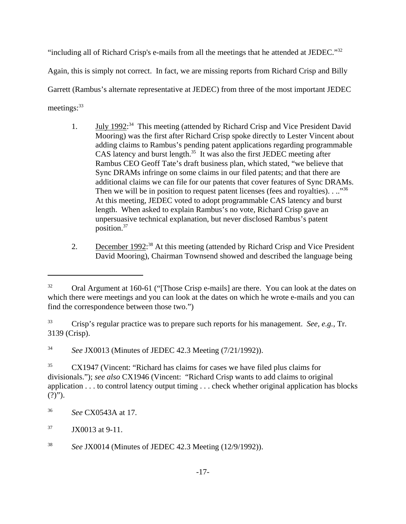"including all of Richard Crisp's e-mails from all the meetings that he attended at JEDEC."<sup>32</sup> Again, this is simply not correct. In fact, we are missing reports from Richard Crisp and Billy Garrett (Rambus's alternate representative at JEDEC) from three of the most important JEDEC meetings:<sup>33</sup>

- 1. **July 1992:**<sup>34</sup> This meeting (attended by Richard Crisp and Vice President David Mooring) was the first after Richard Crisp spoke directly to Lester Vincent about adding claims to Rambus's pending patent applications regarding programmable CAS latency and burst length.<sup>35</sup> It was also the first JEDEC meeting after Rambus CEO Geoff Tate's draft business plan, which stated, "we believe that Sync DRAMs infringe on some claims in our filed patents; and that there are additional claims we can file for our patents that cover features of Sync DRAMs. Then we will be in position to request patent licenses (fees and royalties).  $\ldots$ <sup>36</sup> At this meeting, JEDEC voted to adopt programmable CAS latency and burst length. When asked to explain Rambus's no vote, Richard Crisp gave an unpersuasive technical explanation, but never disclosed Rambus's patent position.37
- 2. December 1992<sup>:38</sup> At this meeting (attended by Richard Crisp and Vice President David Mooring), Chairman Townsend showed and described the language being

 $32$  Oral Argument at 160-61 ("Those Crisp e-mails] are there. You can look at the dates on which there were meetings and you can look at the dates on which he wrote e-mails and you can find the correspondence between those two.")

<sup>33</sup> Crisp's regular practice was to prepare such reports for his management. *See, e.g.,* Tr. 3139 (Crisp).

<sup>34</sup> *See* JX0013 (Minutes of JEDEC 42.3 Meeting (7/21/1992)).

<sup>&</sup>lt;sup>35</sup> CX1947 (Vincent: "Richard has claims for cases we have filed plus claims for divisionals."); *see also* CX1946 (Vincent: "Richard Crisp wants to add claims to original application . . . to control latency output timing . . . check whether original application has blocks  $(?)$ ").

<sup>36</sup> *See* CX0543A at 17.

 $37$  JX0013 at 9-11.

<sup>38</sup> *See* JX0014 (Minutes of JEDEC 42.3 Meeting (12/9/1992)).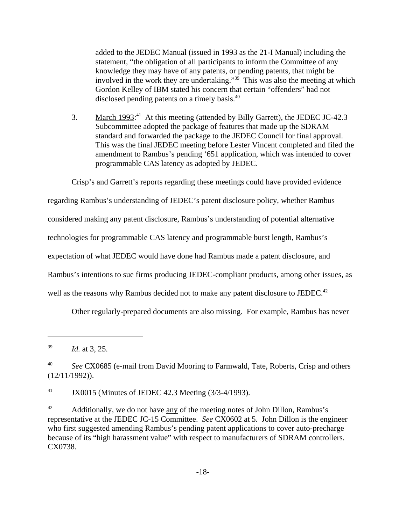added to the JEDEC Manual (issued in 1993 as the 21-I Manual) including the statement, "the obligation of all participants to inform the Committee of any knowledge they may have of any patents, or pending patents, that might be involved in the work they are undertaking."<sup>39</sup> This was also the meeting at which Gordon Kelley of IBM stated his concern that certain "offenders" had not disclosed pending patents on a timely basis.40

3. March 1993:<sup>41</sup> At this meeting (attended by Billy Garrett), the JEDEC JC-42.3 Subcommittee adopted the package of features that made up the SDRAM standard and forwarded the package to the JEDEC Council for final approval. This was the final JEDEC meeting before Lester Vincent completed and filed the amendment to Rambus's pending '651 application, which was intended to cover programmable CAS latency as adopted by JEDEC.

Crisp's and Garrett's reports regarding these meetings could have provided evidence

regarding Rambus's understanding of JEDEC's patent disclosure policy, whether Rambus

considered making any patent disclosure, Rambus's understanding of potential alternative

technologies for programmable CAS latency and programmable burst length, Rambus's

expectation of what JEDEC would have done had Rambus made a patent disclosure, and

Rambus's intentions to sue firms producing JEDEC-compliant products, among other issues, as

well as the reasons why Rambus decided not to make any patent disclosure to JEDEC.<sup>42</sup>

Other regularly-prepared documents are also missing. For example, Rambus has never

 $41$  JX0015 (Minutes of JEDEC 42.3 Meeting  $(3/3-4/1993)$ .

<sup>39</sup> *Id.* at 3, 25.

<sup>&</sup>lt;sup>40</sup> *See CX0685* (e-mail from David Mooring to Farmwald, Tate, Roberts, Crisp and others (12/11/1992)).

<sup>&</sup>lt;sup>42</sup> Additionally, we do not have any of the meeting notes of John Dillon, Rambus's representative at the JEDEC JC-15 Committee. *See* CX0602 at 5. John Dillon is the engineer who first suggested amending Rambus's pending patent applications to cover auto-precharge because of its "high harassment value" with respect to manufacturers of SDRAM controllers. CX0738.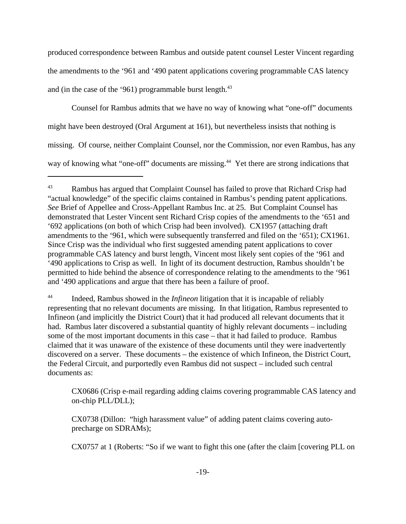produced correspondence between Rambus and outside patent counsel Lester Vincent regarding the amendments to the '961 and '490 patent applications covering programmable CAS latency and (in the case of the '961) programmable burst length. $43$ 

Counsel for Rambus admits that we have no way of knowing what "one-off" documents might have been destroyed (Oral Argument at 161), but nevertheless insists that nothing is missing. Of course, neither Complaint Counsel, nor the Commission, nor even Rambus, has any way of knowing what "one-off" documents are missing.<sup>44</sup> Yet there are strong indications that

CX0686 (Crisp e-mail regarding adding claims covering programmable CAS latency and on-chip PLL/DLL);

CX0757 at 1 (Roberts: "So if we want to fight this one (after the claim [covering PLL on

<sup>&</sup>lt;sup>43</sup> Rambus has argued that Complaint Counsel has failed to prove that Richard Crisp had "actual knowledge" of the specific claims contained in Rambus's pending patent applications. *See* Brief of Appellee and Cross-Appellant Rambus Inc. at 25. But Complaint Counsel has demonstrated that Lester Vincent sent Richard Crisp copies of the amendments to the '651 and '692 applications (on both of which Crisp had been involved). CX1957 (attaching draft amendments to the '961, which were subsequently transferred and filed on the '651); CX1961. Since Crisp was the individual who first suggested amending patent applications to cover programmable CAS latency and burst length, Vincent most likely sent copies of the '961 and '490 applications to Crisp as well. In light of its document destruction, Rambus shouldn't be permitted to hide behind the absence of correspondence relating to the amendments to the '961 and '490 applications and argue that there has been a failure of proof.

<sup>44</sup> Indeed, Rambus showed in the *Infineon* litigation that it is incapable of reliably representing that no relevant documents are missing. In that litigation, Rambus represented to Infineon (and implicitly the District Court) that it had produced all relevant documents that it had. Rambus later discovered a substantial quantity of highly relevant documents – including some of the most important documents in this case – that it had failed to produce. Rambus claimed that it was unaware of the existence of these documents until they were inadvertently discovered on a server. These documents – the existence of which Infineon, the District Court, the Federal Circuit, and purportedly even Rambus did not suspect – included such central documents as:

CX0738 (Dillon: "high harassment value" of adding patent claims covering autoprecharge on SDRAMs);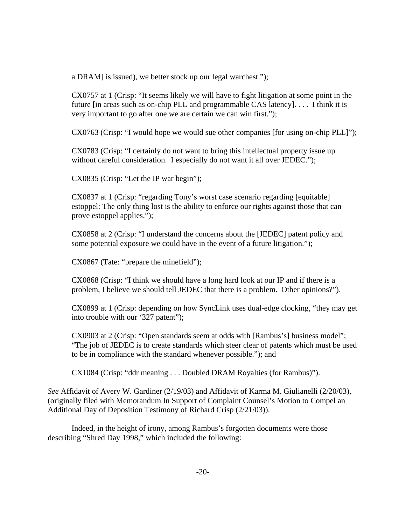a DRAM] is issued), we better stock up our legal warchest.");

CX0757 at 1 (Crisp: "It seems likely we will have to fight litigation at some point in the future [in areas such as on-chip PLL and programmable CAS latency]. . . . I think it is very important to go after one we are certain we can win first.");

CX0763 (Crisp: "I would hope we would sue other companies [for using on-chip PLL]");

CX0783 (Crisp: "I certainly do not want to bring this intellectual property issue up without careful consideration. I especially do not want it all over JEDEC.");

CX0835 (Crisp: "Let the IP war begin");

CX0837 at 1 (Crisp: "regarding Tony's worst case scenario regarding [equitable] estoppel: The only thing lost is the ability to enforce our rights against those that can prove estoppel applies.");

CX0858 at 2 (Crisp: "I understand the concerns about the [JEDEC] patent policy and some potential exposure we could have in the event of a future litigation.");

CX0867 (Tate: "prepare the minefield");

CX0868 (Crisp: "I think we should have a long hard look at our IP and if there is a problem, I believe we should tell JEDEC that there is a problem. Other opinions?").

CX0899 at 1 (Crisp: depending on how SyncLink uses dual-edge clocking, "they may get into trouble with our '327 patent");

CX0903 at 2 (Crisp: "Open standards seem at odds with [Rambus's] business model"; "The job of JEDEC is to create standards which steer clear of patents which must be used to be in compliance with the standard whenever possible."); and

CX1084 (Crisp: "ddr meaning . . . Doubled DRAM Royalties (for Rambus)").

*See* Affidavit of Avery W. Gardiner (2/19/03) and Affidavit of Karma M. Giulianelli (2/20/03), (originally filed with Memorandum In Support of Complaint Counsel's Motion to Compel an Additional Day of Deposition Testimony of Richard Crisp (2/21/03)).

Indeed, in the height of irony, among Rambus's forgotten documents were those describing "Shred Day 1998," which included the following: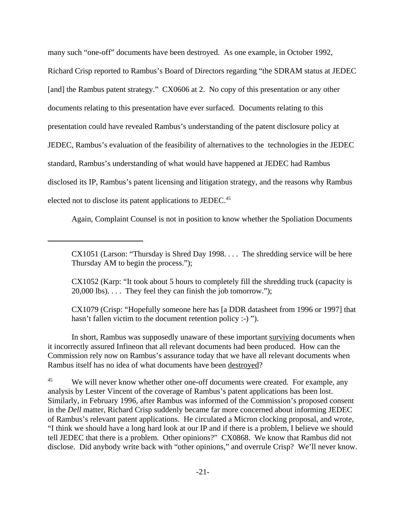many such "one-off" documents have been destroyed. As one example, in October 1992, Richard Crisp reported to Rambus's Board of Directors regarding "the SDRAM status at JEDEC [and] the Rambus patent strategy." CX0606 at 2. No copy of this presentation or any other documents relating to this presentation have ever surfaced. Documents relating to this presentation could have revealed Rambus's understanding of the patent disclosure policy at JEDEC, Rambus's evaluation of the feasibility of alternatives to the technologies in the JEDEC standard, Rambus's understanding of what would have happened at JEDEC had Rambus disclosed its IP, Rambus's patent licensing and litigation strategy, and the reasons why Rambus elected not to disclose its patent applications to JEDEC.<sup>45</sup>

Again, Complaint Counsel is not in position to know whether the Spoliation Documents

CX1051 (Larson: "Thursday is Shred Day 1998. . . . The shredding service will be here Thursday AM to begin the process.");

CX1052 (Karp: "It took about 5 hours to completely fill the shredding truck (capacity is 20,000 lbs). . . . They feel they can finish the job tomorrow.");

CX1079 (Crisp: "Hopefully someone here has [a DDR datasheet from 1996 or 1997] that hasn't fallen victim to the document retention policy :-)".

In short, Rambus was supposedly unaware of these important surviving documents when it incorrectly assured Infineon that all relevant documents had been produced. How can the Commission rely now on Rambus's assurance today that we have all relevant documents when Rambus itself has no idea of what documents have been destroyed?

<sup>45</sup> We will never know whether other one-off documents were created. For example, any analysis by Lester Vincent of the coverage of Rambus's patent applications has been lost. Similarly, in February 1996, after Rambus was informed of the Commission's proposed consent in the *Dell* matter, Richard Crisp suddenly became far more concerned about informing JEDEC of Rambus's relevant patent applications. He circulated a Micron clocking proposal, and wrote, "I think we should have a long hard look at our IP and if there is a problem, I believe we should tell JEDEC that there is a problem. Other opinions?" CX0868. We know that Rambus did not disclose. Did anybody write back with "other opinions," and overrule Crisp? We'll never know.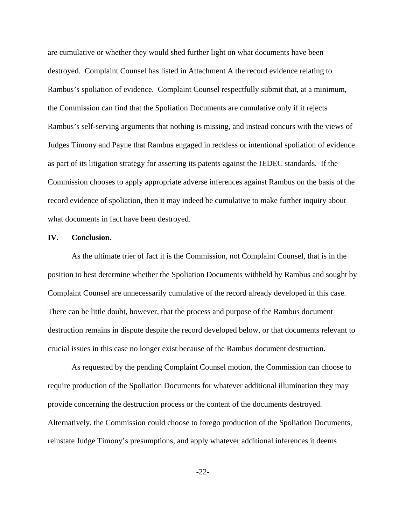are cumulative or whether they would shed further light on what documents have been destroyed. Complaint Counsel has listed in Attachment A the record evidence relating to Rambus's spoliation of evidence. Complaint Counsel respectfully submit that, at a minimum, the Commission can find that the Spoliation Documents are cumulative only if it rejects Rambus's self-serving arguments that nothing is missing, and instead concurs with the views of Judges Timony and Payne that Rambus engaged in reckless or intentional spoliation of evidence as part of its litigation strategy for asserting its patents against the JEDEC standards. If the Commission chooses to apply appropriate adverse inferences against Rambus on the basis of the record evidence of spoliation, then it may indeed be cumulative to make further inquiry about what documents in fact have been destroyed.

#### **IV. Conclusion.**

As the ultimate trier of fact it is the Commission, not Complaint Counsel, that is in the position to best determine whether the Spoliation Documents withheld by Rambus and sought by Complaint Counsel are unnecessarily cumulative of the record already developed in this case. There can be little doubt, however, that the process and purpose of the Rambus document destruction remains in dispute despite the record developed below, or that documents relevant to crucial issues in this case no longer exist because of the Rambus document destruction.

As requested by the pending Complaint Counsel motion, the Commission can choose to require production of the Spoliation Documents for whatever additional illumination they may provide concerning the destruction process or the content of the documents destroyed. Alternatively, the Commission could choose to forego production of the Spoliation Documents, reinstate Judge Timony's presumptions, and apply whatever additional inferences it deems

-22-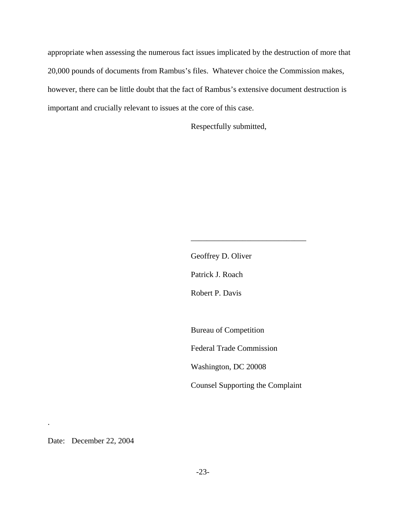appropriate when assessing the numerous fact issues implicated by the destruction of more that 20,000 pounds of documents from Rambus's files. Whatever choice the Commission makes, however, there can be little doubt that the fact of Rambus's extensive document destruction is important and crucially relevant to issues at the core of this case.

Respectfully submitted,

Geoffrey D. Oliver Patrick J. Roach Robert P. Davis

Bureau of Competition

Federal Trade Commission

Washington, DC 20008

Counsel Supporting the Complaint

\_\_\_\_\_\_\_\_\_\_\_\_\_\_\_\_\_\_\_\_\_\_\_\_\_\_\_\_\_

Date: December 22, 2004

.